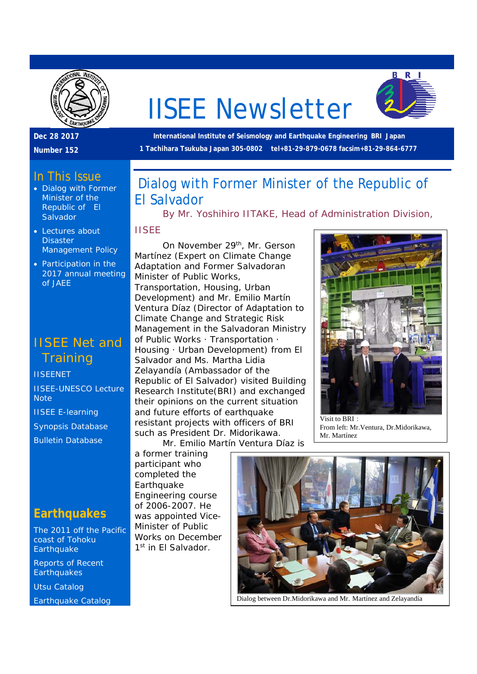

# IISEE Newsletter



**Dec 28 2017** 

**Number 152** 

#### In This Issue

- Dialog with Former Minister of the Republic of El **Salvador**
- Lectures about **Disaster** Management Policy
- Participation in the 2017 annual meeting of JAEE

## IISEE Net and **Training**

**IISEENET** 

IISEE-UNESCO Lecture **Note** 

IISEE E-learning

Synopsis Database

Bulletin Database

### **Earthquakes**

The 2011 off the Pacific coast of Tohoku **Earthquake** 

Reports of Recent **Earthquakes** 

Utsu Catalog

Earthquake Catalog

 **International Institute of Seismology and Earthquake Engineering BRI Japan 1 Tachihara Tsukuba Japan 305-0802 tel+81-29-879-0678 facsim+81-29-864-6777** 

# Dialog with Former Minister of the Republic of El Salvador

*By Mr. Yoshihiro IITAKE, Head of Administration Division,* 

#### *IISEE*

On November 29<sup>th</sup>, Mr. Gerson Martínez (Expert on Climate Change Adaptation and Former Salvadoran Minister of Public Works, Transportation, Housing, Urban Development) and Mr. Emilio Martín Ventura Díaz (Director of Adaptation to Climate Change and Strategic Risk Management in the Salvadoran Ministry of Public Works · Transportation · Housing · Urban Development) from El Salvador and Ms. Martha Lidia Zelayandía (Ambassador of the Republic of El Salvador) visited Building Research Institute(BRI) and exchanged their opinions on the current situation and future efforts of earthquake resistant projects with officers of BRI such as President Dr. Midorikawa.

Mr. Emilio Martín Ventura Díaz is

a former training participant who completed the Earthquake Engineering course of 2006-2007. He was appointed Vice-Minister of Public Works on December 1<sup>st</sup> in Fl Salvador.



Visit to  $\overline{RRI}$ . From left: Mr.Ventura, Dr.Midorikawa, Mr. Martínez



Dialog between Dr.Midorikawa and Mr. Martínez and Zelayandía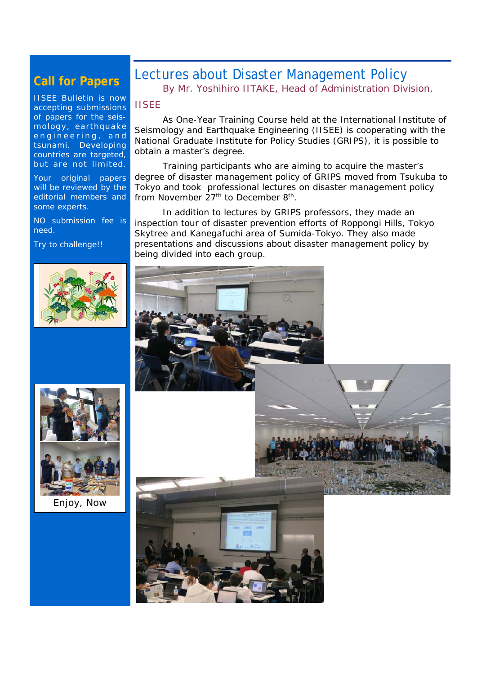#### **Call for Papers**

IISEE Bulletin is now accepting submissions of papers for the seismology, earthquake engineering, and tsunami. Developing countries are targeted, but are not limited.

Your original papers will be reviewed by the editorial members and some experts.

NO submission fee is need.

Try to challenge!!

#### Lectures about Disaster Management Policy *By Mr. Yoshihiro IITAKE, Head of Administration Division,*

#### *IISEE*

 As One-Year Training Course held at the International Institute of Seismology and Earthquake Engineering (IISEE) is cooperating with the National Graduate Institute for Policy Studies (GRIPS), it is possible to obtain a master's degree.

 Training participants who are aiming to acquire the master's degree of disaster management policy of GRIPS moved from Tsukuba to Tokyo and took professional lectures on disaster management policy from November  $27<sup>th</sup>$  to December 8<sup>th</sup>.

 In addition to lectures by GRIPS professors, they made an inspection tour of disaster prevention efforts of Roppongi Hills, Tokyo Skytree and Kanegafuchi area of Sumida-Tokyo. They also made presentations and discussions about disaster management policy by being divided into each group.